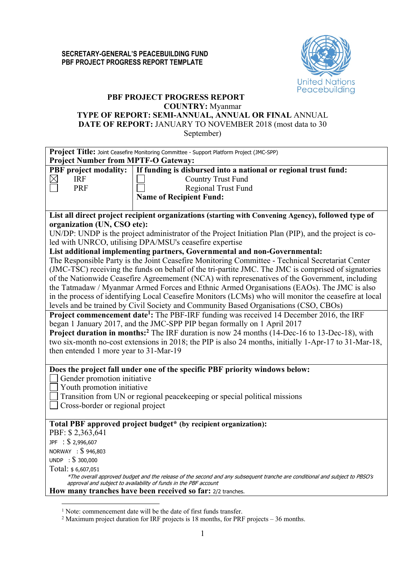

## **PBF PROJECT PROGRESS REPORT COUNTRY:** Myanmar **TYPE OF REPORT: SEMI-ANNUAL, ANNUAL OR FINAL** ANNUAL **DATE OF REPORT:** JANUARY TO NOVEMBER 2018 (most data to 30 September)

|                                            | Project Title: Joint Ceasefire Monitoring Committee - Support Platform Project (JMC-SPP)                                    |
|--------------------------------------------|-----------------------------------------------------------------------------------------------------------------------------|
| <b>Project Number from MPTF-O Gateway:</b> |                                                                                                                             |
| <b>PBF</b> project modality:               | If funding is disbursed into a national or regional trust fund:                                                             |
| $\boxtimes$<br><b>IRF</b>                  | <b>Country Trust Fund</b>                                                                                                   |
| <b>PRF</b>                                 | <b>Regional Trust Fund</b>                                                                                                  |
|                                            | <b>Name of Recipient Fund:</b>                                                                                              |
|                                            |                                                                                                                             |
|                                            | List all direct project recipient organizations (starting with Convening Agency), followed type of                          |
| organization (UN, CSO etc):                |                                                                                                                             |
|                                            | UN/DP: UNDP is the project administrator of the Project Initiation Plan (PIP), and the project is co-                       |
|                                            | led with UNRCO, utilising DPA/MSU's ceasefire expertise                                                                     |
|                                            | List additional implementing partners, Governmental and non-Governmental:                                                   |
|                                            | The Responsible Party is the Joint Ceasefire Monitoring Committee - Technical Secretariat Center                            |
|                                            | (JMC-TSC) receiving the funds on behalf of the tri-partite JMC. The JMC is comprised of signatories                         |
|                                            | of the Nationwide Ceasefire Agreemement (NCA) with represenatives of the Government, including                              |
|                                            | the Tatmadaw / Myanmar Armed Forces and Ethnic Armed Organisations (EAOs). The JMC is also                                  |
|                                            | in the process of identifying Local Ceasefire Monitors (LCMs) who will monitor the ceasefire at local                       |
|                                            | levels and be trained by Civil Society and Community Based Organisations (CSO, CBOs)                                        |
|                                            | <b>Project commencement date<sup>1</sup>:</b> The PBF-IRF funding was received 14 December 2016, the IRF                    |
|                                            | began 1 January 2017, and the JMC-SPP PIP began formally on 1 April 2017                                                    |
|                                            | <b>Project duration in months:</b> <sup>2</sup> The IRF duration is now 24 months (14-Dec-16 to 13-Dec-18), with            |
|                                            | two six-month no-cost extensions in 2018; the PIP is also 24 months, initially 1-Apr-17 to 31-Mar-18,                       |
| then entended 1 more year to 31-Mar-19     |                                                                                                                             |
|                                            |                                                                                                                             |
|                                            | Does the project fall under one of the specific PBF priority windows below:                                                 |
| Gender promotion initiative                |                                                                                                                             |
| Youth promotion initiative                 |                                                                                                                             |
|                                            | Transition from UN or regional peacekeeping or special political missions                                                   |
| Cross-border or regional project           |                                                                                                                             |
|                                            |                                                                                                                             |
|                                            | Total PBF approved project budget* (by recipient organization):                                                             |
| PBF: \$2,363,641                           |                                                                                                                             |
| JPF : \$ 2,996,607                         |                                                                                                                             |
| NORWAY : \\$946,803                        |                                                                                                                             |
| UNDP : $$300,000$                          |                                                                                                                             |
| Total: \$6,607,051                         |                                                                                                                             |
|                                            | *The overall approved budget and the release of the second and any subsequent tranche are conditional and subject to PBSO's |
|                                            | approval and subject to availability of funds in the PBF account                                                            |
|                                            | How many tranches have been received so far: 2/2 tranches.                                                                  |

 <sup>1</sup> Note: commencement date will be the date of first funds transfer.

<sup>&</sup>lt;sup>2</sup> Maximum project duration for IRF projects is 18 months, for PRF projects  $-36$  months.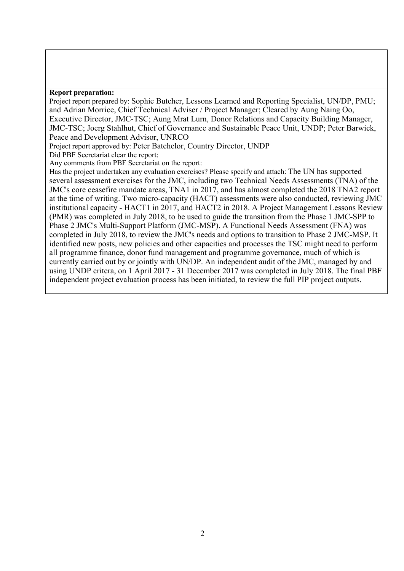#### **Report preparation:**

Project report prepared by: Sophie Butcher, Lessons Learned and Reporting Specialist, UN/DP, PMU; and Adrian Morrice, Chief Technical Adviser / Project Manager; Cleared by Aung Naing Oo, Executive Director, JMC-TSC; Aung Mrat Lurn, Donor Relations and Capacity Building Manager, JMC-TSC; Joerg Stahlhut, Chief of Governance and Sustainable Peace Unit, UNDP; Peter Barwick, Peace and Development Advisor, UNRCO

Project report approved by: Peter Batchelor, Country Director, UNDP

Did PBF Secretariat clear the report:

Any comments from PBF Secretariat on the report:

Has the project undertaken any evaluation exercises? Please specify and attach: The UN has supported several assessment exercises for the JMC, including two Technical Needs Assessments (TNA) of the JMC's core ceasefire mandate areas, TNA1 in 2017, and has almost completed the 2018 TNA2 report at the time of writing. Two micro-capacity (HACT) assessments were also conducted, reviewing JMC institutional capacity - HACT1 in 2017, and HACT2 in 2018. A Project Management Lessons Review (PMR) was completed in July 2018, to be used to guide the transition from the Phase 1 JMC-SPP to Phase 2 JMC's Multi-Support Platform (JMC-MSP). A Functional Needs Assessment (FNA) was completed in July 2018, to review the JMC's needs and options to transition to Phase 2 JMC-MSP. It identified new posts, new policies and other capacities and processes the TSC might need to perform all programme finance, donor fund management and programme governance, much of which is currently carried out by or jointly with UN/DP. An independent audit of the JMC, managed by and using UNDP critera, on 1 April 2017 - 31 December 2017 was completed in July 2018. The final PBF independent project evaluation process has been initiated, to review the full PIP project outputs.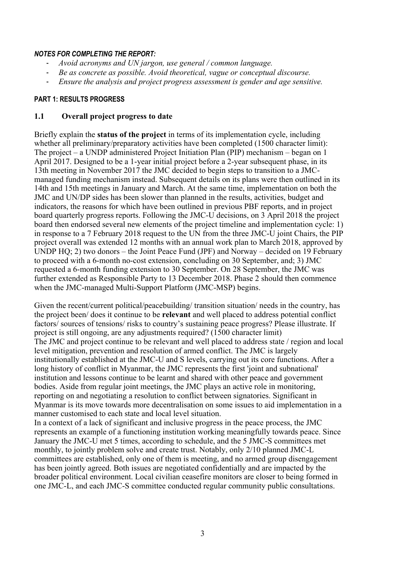## *NOTES FOR COMPLETING THE REPORT:*

- *Avoid acronyms and UN jargon, use general / common language.*
- *Be as concrete as possible. Avoid theoretical, vague or conceptual discourse.*
- *Ensure the analysis and project progress assessment is gender and age sensitive.*

## **PART 1: RESULTS PROGRESS**

# **1.1 Overall project progress to date**

Briefly explain the **status of the project** in terms of its implementation cycle, including whether all preliminary/preparatory activities have been completed (1500 character limit): The project – a UNDP administered Project Initiation Plan (PIP) mechanism – began on 1 April 2017. Designed to be a 1-year initial project before a 2-year subsequent phase, in its 13th meeting in November 2017 the JMC decided to begin steps to transition to a JMCmanaged funding mechanism instead. Subsequent details on its plans were then outlined in its 14th and 15th meetings in January and March. At the same time, implementation on both the JMC and UN/DP sides has been slower than planned in the results, activities, budget and indicators, the reasons for which have been outlined in previous PBF reports, and in project board quarterly progress reports. Following the JMC-U decisions, on 3 April 2018 the project board then endorsed several new elements of the project timeline and implementation cycle: 1) in response to a 7 February 2018 request to the UN from the three JMC-U joint Chairs, the PIP project overall was extended 12 months with an annual work plan to March 2018, approved by UNDP HQ; 2) two donors – the Joint Peace Fund (JPF) and Norway – decided on 19 February to proceed with a 6-month no-cost extension, concluding on 30 September, and; 3) JMC requested a 6-month funding extension to 30 September. On 28 September, the JMC was further extended as Responsible Party to 13 December 2018. Phase 2 should then commence when the JMC-managed Multi-Support Platform (JMC-MSP) begins.

Given the recent/current political/peacebuilding/ transition situation/ needs in the country, has the project been/ does it continue to be **relevant** and well placed to address potential conflict factors/ sources of tensions/ risks to country's sustaining peace progress? Please illustrate. If project is still ongoing, are any adjustments required? (1500 character limit) The JMC and project continue to be relevant and well placed to address state / region and local level mitigation, prevention and resolution of armed conflict. The JMC is largely institutionally established at the JMC-U and S levels, carrying out its core functions. After a long history of conflict in Myanmar, the JMC represents the first 'joint and subnational' institution and lessons continue to be learnt and shared with other peace and government bodies. Aside from regular joint meetings, the JMC plays an active role in monitoring, reporting on and negotiating a resolution to conflict between signatories. Significant in Myanmar is its move towards more decentralisation on some issues to aid implementation in a manner customised to each state and local level situation.

In a context of a lack of significant and inclusive progress in the peace process, the JMC represents an example of a functioning institution working meaningfully towards peace. Since January the JMC-U met 5 times, according to schedule, and the 5 JMC-S committees met monthly, to jointly problem solve and create trust. Notably, only 2/10 planned JMC-L committees are established, only one of them is meeting, and no armed group disengagement has been jointly agreed. Both issues are negotiated confidentially and are impacted by the broader political environment. Local civilian ceasefire monitors are closer to being formed in one JMC-L, and each JMC-S committee conducted regular community public consultations.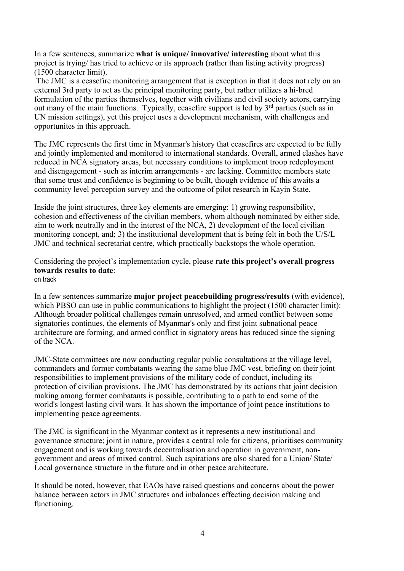In a few sentences, summarize **what is unique/ innovative/ interesting** about what this project is trying/ has tried to achieve or its approach (rather than listing activity progress) (1500 character limit).

The JMC is a ceasefire monitoring arrangement that is exception in that it does not rely on an external 3rd party to act as the principal monitoring party, but rather utilizes a hi-bred formulation of the parties themselves, together with civilians and civil society actors, carrying out many of the main functions. Typically, ceasefire support is led by 3<sup>rd</sup> parties (such as in UN mission settings), yet this project uses a development mechanism, with challenges and opportunites in this approach.

The JMC represents the first time in Myanmar's history that ceasefires are expected to be fully and jointly implemented and monitored to international standards. Overall, armed clashes have reduced in NCA signatory areas, but necessary conditions to implement troop redeployment and disengagement - such as interim arrangements - are lacking. Committee members state that some trust and confidence is beginning to be built, though evidence of this awaits a community level perception survey and the outcome of pilot research in Kayin State.

Inside the joint structures, three key elements are emerging: 1) growing responsibility, cohesion and effectiveness of the civilian members, whom although nominated by either side, aim to work neutrally and in the interest of the NCA, 2) development of the local civilian monitoring concept, and; 3) the institutional development that is being felt in both the U/S/L JMC and technical secretariat centre, which practically backstops the whole operation.

Considering the project's implementation cycle, please **rate this project's overall progress towards results to date**: on track

In a few sentences summarize **major project peacebuilding progress/results** (with evidence), which PBSO can use in public communications to highlight the project (1500 character limit): Although broader political challenges remain unresolved, and armed conflict between some signatories continues, the elements of Myanmar's only and first joint subnational peace architecture are forming, and armed conflict in signatory areas has reduced since the signing of the NCA.

JMC-State committees are now conducting regular public consultations at the village level, commanders and former combatants wearing the same blue JMC vest, briefing on their joint responsibilities to implement provisions of the military code of conduct, including its protection of civilian provisions. The JMC has demonstrated by its actions that joint decision making among former combatants is possible, contributing to a path to end some of the world's longest lasting civil wars. It has shown the importance of joint peace institutions to implementing peace agreements.

The JMC is significant in the Myanmar context as it represents a new institutional and governance structure; joint in nature, provides a central role for citizens, prioritises community engagement and is working towards decentralisation and operation in government, nongovernment and areas of mixed control. Such aspirations are also shared for a Union/ State/ Local governance structure in the future and in other peace architecture.

It should be noted, however, that EAOs have raised questions and concerns about the power balance between actors in JMC structures and inbalances effecting decision making and functioning.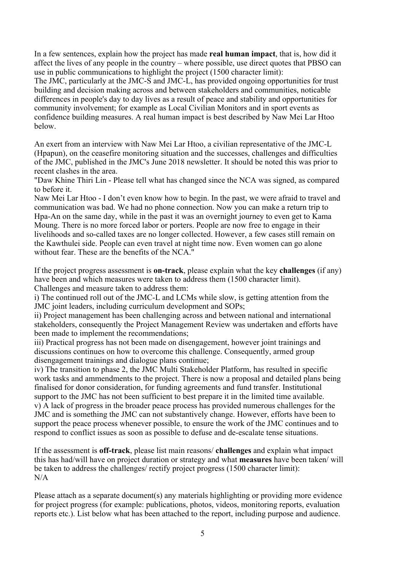In a few sentences, explain how the project has made **real human impact**, that is, how did it affect the lives of any people in the country – where possible, use direct quotes that PBSO can use in public communications to highlight the project (1500 character limit):

The JMC, particularly at the JMC-S and JMC-L, has provided ongoing opportunities for trust building and decision making across and between stakeholders and communities, noticable differences in people's day to day lives as a result of peace and stability and opportunities for community involvement; for example as Local Civilian Monitors and in sport events as confidence building measures. A real human impact is best described by Naw Mei Lar Htoo below.

An exert from an interview with Naw Mei Lar Htoo, a civilian representative of the JMC-L (Hpapun), on the ceasefire monitoring situation and the successes, challenges and difficulties of the JMC, published in the JMC's June 2018 newsletter. It should be noted this was prior to recent clashes in the area.

"Daw Khine Thiri Lin - Please tell what has changed since the NCA was signed, as compared to before it.

Naw Mei Lar Htoo - I don't even know how to begin. In the past, we were afraid to travel and communication was bad. We had no phone connection. Now you can make a return trip to Hpa-An on the same day, while in the past it was an overnight journey to even get to Kama Moung. There is no more forced labor or porters. People are now free to engage in their livelihoods and so-called taxes are no longer collected. However, a few cases still remain on the Kawthulei side. People can even travel at night time now. Even women can go alone without fear. These are the benefits of the NCA."

If the project progress assessment is **on-track**, please explain what the key **challenges** (if any) have been and which measures were taken to address them (1500 character limit). Challenges and measure taken to address them:

i) The continued roll out of the JMC-L and LCMs while slow, is getting attention from the JMC joint leaders, including curriculum development and SOPs;

ii) Project management has been challenging across and between national and international stakeholders, consequently the Project Management Review was undertaken and efforts have been made to implement the recommendations;

iii) Practical progress has not been made on disengagement, however joint trainings and discussions continues on how to overcome this challenge. Consequently, armed group disengagement trainings and dialogue plans continue;

iv) The transition to phase 2, the JMC Multi Stakeholder Platform, has resulted in specific work tasks and ammendments to the project. There is now a proposal and detailed plans being finalised for donor consideration, for funding agreements and fund transfer. Institutional support to the JMC has not been sufficient to best prepare it in the limited time available. v) A lack of progress in the broader peace process has provided numerous challenges for the JMC and is something the JMC can not substantively change. However, efforts have been to support the peace process whenever possible, to ensure the work of the JMC continues and to respond to conflict issues as soon as possible to defuse and de-escalate tense situations.

If the assessment is **off-track**, please list main reasons/ **challenges** and explain what impact this has had/will have on project duration or strategy and what **measures** have been taken/ will be taken to address the challenges/ rectify project progress (1500 character limit):  $N/A$ 

Please attach as a separate document(s) any materials highlighting or providing more evidence for project progress (for example: publications, photos, videos, monitoring reports, evaluation reports etc.). List below what has been attached to the report, including purpose and audience.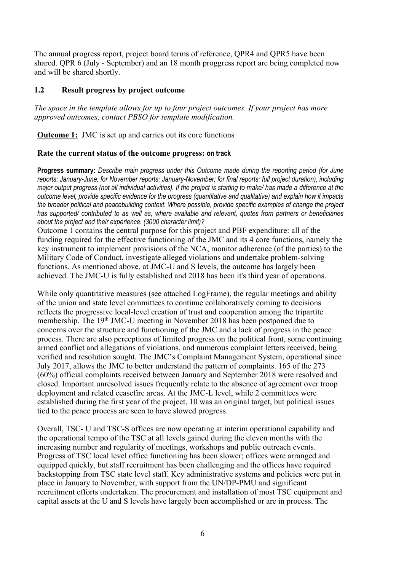The annual progress report, project board terms of reference, QPR4 and QPR5 have been shared. QPR 6 (July - September) and an 18 month proggress report are being completed now and will be shared shortly.

# **1.2 Result progress by project outcome**

*The space in the template allows for up to four project outcomes. If your project has more approved outcomes, contact PBSO for template modification.*

**Outcome 1:** JMC is set up and carries out its core functions

## **Rate the current status of the outcome progress: on track**

**Progress summary:** *Describe main progress under this Outcome made during the reporting period (for June reports: January-June; for November reports: January-November; for final reports: full project duration), including major output progress (not all individual activities). If the project is starting to make/ has made a difference at the outcome level, provide specific evidence for the progress (quantitative and qualitative) and explain how it impacts the broader political and peacebuilding context. Where possible, provide specific examples of change the project has supported/ contributed to as well as, where available and relevant, quotes from partners or beneficiaries about the project and their experience. (3000 character limit)?* 

Outcome 1 contains the central purpose for this project and PBF expenditure: all of the funding required for the effective functioning of the JMC and its 4 core functions, namely the key instrument to implement provisions of the NCA, monitor adherence (of the parties) to the Military Code of Conduct, investigate alleged violations and undertake problem-solving functions. As mentioned above, at JMC-U and S levels, the outcome has largely been achieved. The JMC-U is fully established and 2018 has been it's third year of operations.

While only quantitative measures (see attached LogFrame), the regular meetings and ability of the union and state level committees to continue collaboratively coming to decisions reflects the progressive local-level creation of trust and cooperation among the tripartite membership. The 19<sup>th</sup> JMC-U meeting in November 2018 has been postponed due to concerns over the structure and functioning of the JMC and a lack of progress in the peace process. There are also perceptions of limited progress on the political front, some continuing armed conflict and allegations of violations, and numerous complaint letters received, being verified and resolution sought. The JMC's Complaint Management System, operational since July 2017, allows the JMC to better understand the pattern of complaints. 165 of the 273 (60%) official complaints received between January and September 2018 were resolved and closed. Important unresolved issues frequently relate to the absence of agreement over troop deployment and related ceasefire areas. At the JMC-L level, while 2 committees were established during the first year of the project, 10 was an original target, but political issues tied to the peace process are seen to have slowed progress.

Overall, TSC- U and TSC-S offices are now operating at interim operational capability and the operational tempo of the TSC at all levels gained during the eleven months with the increasing number and regularity of meetings, workshops and public outreach events. Progress of TSC local level office functioning has been slower; offices were arranged and equipped quickly, but staff recruitment has been challenging and the offices have required backstopping from TSC state level staff. Key administrative systems and policies were put in place in January to November, with support from the UN/DP-PMU and significant recruitment efforts undertaken. The procurement and installation of most TSC equipment and capital assets at the U and S levels have largely been accomplished or are in process. The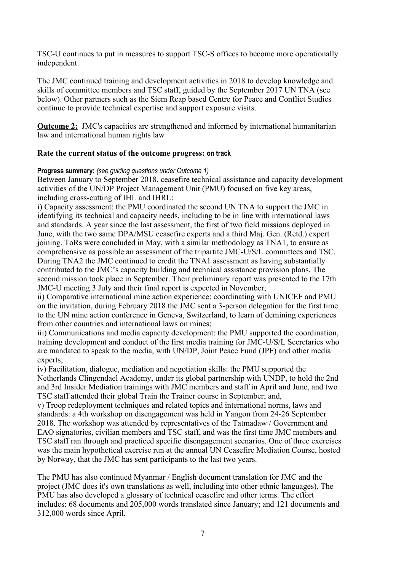TSC-U continues to put in measures to support TSC-S offices to become more operationally independent.

The JMC continued training and development activities in 2018 to develop knowledge and skills of committee members and TSC staff, guided by the September 2017 UN TNA (see below). Other partners such as the Siem Reap based Centre for Peace and Conflict Studies continue to provide technical expertise and support exposure visits.

**Outcome 2:** JMC's capacities are strengthened and informed by international humanitarian law and international human rights law

# **Rate the current status of the outcome progress: on track**

## **Progress summary:** *(see guiding questions under Outcome 1)*

Between January to September 2018, ceasefire technical assistance and capacity development activities of the UN/DP Project Management Unit (PMU) focused on five key areas, including cross-cutting of IHL and IHRL:

i) Capacity assessment: the PMU coordinated the second UN TNA to support the JMC in identifying its technical and capacity needs, including to be in line with international laws and standards. A year since the last assessment, the first of two field missions deployed in June, with the two same DPA/MSU ceasefire experts and a third Maj. Gen. (Retd.) expert joining. ToRs were concluded in May, with a similar methodology as TNA1, to ensure as comprehensive as possible an assessment of the tripartite JMC-U/S/L committees and TSC. During TNA2 the JMC continued to credit the TNA1 assessment as having substantially contributed to the JMC's capacity building and technical assistance provision plans. The second mission took place in September. Their preliminary report was presented to the 17th JMC-U meeting 3 July and their final report is expected in November;

ii) Comparative international mine action experience: coordinating with UNICEF and PMU on the invitation, during February 2018 the JMC sent a 3-person delegation for the first time to the UN mine action conference in Geneva, Switzerland, to learn of demining experiences from other countries and international laws on mines;

iii) Communications and media capacity development: the PMU supported the coordination, training development and conduct of the first media training for JMC-U/S/L Secretaries who are mandated to speak to the media, with UN/DP, Joint Peace Fund (JPF) and other media experts;

iv) Facilitation, dialogue, mediation and negotiation skills: the PMU supported the Netherlands Clingendael Academy, under its global partnership with UNDP, to hold the 2nd and 3rd Insider Mediation trainings with JMC members and staff in April and June, and two TSC staff attended their global Train the Trainer course in September; and,

v) Troop redeployment techniques and related topics and international norms, laws and standards: a 4th workshop on disengagement was held in Yangon from 24-26 September 2018. The workshop was attended by representatives of the Tatmadaw / Government and EAO signatories, civilian members and TSC staff, and was the first time JMC members and TSC staff ran through and practiced specific disengagement scenarios. One of three exercises was the main hypothetical exercise run at the annual UN Ceasefire Mediation Course, hosted by Norway, that the JMC has sent participants to the last two years.

The PMU has also continued Myanmar / English document translation for JMC and the project (JMC does it's own translations as well, including into other ethnic languages). The PMU has also developed a glossary of technical ceasefire and other terms. The effort includes: 68 documents and 205,000 words translated since January; and 121 documents and 312,000 words since April.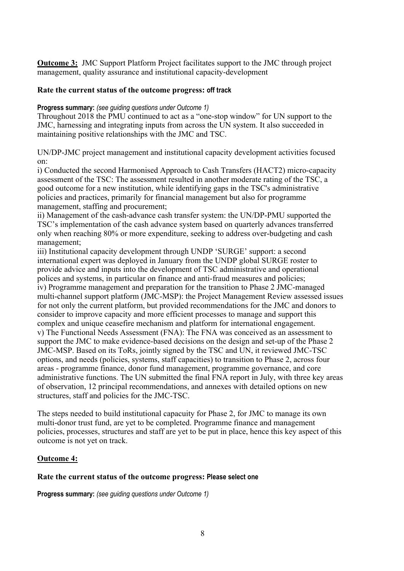**Outcome 3:** JMC Support Platform Project facilitates support to the JMC through project management, quality assurance and institutional capacity-development

#### **Rate the current status of the outcome progress: off track**

#### **Progress summary:** *(see guiding questions under Outcome 1)*

Throughout 2018 the PMU continued to act as a "one-stop window" for UN support to the JMC, harnessing and integrating inputs from across the UN system. It also succeeded in maintaining positive relationships with the JMC and TSC.

UN/DP-JMC project management and institutional capacity development activities focused on:

i) Conducted the second Harmonised Approach to Cash Transfers (HACT2) micro-capacity assessment of the TSC: The assessment resulted in another moderate rating of the TSC, a good outcome for a new institution, while identifying gaps in the TSC's administrative policies and practices, primarily for financial management but also for programme management, staffing and procurement;

ii) Management of the cash-advance cash transfer system: the UN/DP-PMU supported the TSC's implementation of the cash advance system based on quarterly advances transferred only when reaching 80% or more expenditure, seeking to address over-budgeting and cash management;

iii) Institutional capacity development through UNDP 'SURGE' support: a second international expert was deployed in January from the UNDP global SURGE roster to provide advice and inputs into the development of TSC administrative and operational polices and systems, in particular on finance and anti-fraud measures and policies; iv) Programme management and preparation for the transition to Phase 2 JMC-managed multi-channel support platform (JMC-MSP): the Project Management Review assessed issues for not only the current platform, but provided recommendations for the JMC and donors to consider to improve capacity and more efficient processes to manage and support this complex and unique ceasefire mechanism and platform for international engagement. v) The Functional Needs Assessment (FNA): The FNA was conceived as an assessment to support the JMC to make evidence-based decisions on the design and set-up of the Phase 2 JMC-MSP. Based on its ToRs, jointly signed by the TSC and UN, it reviewed JMC-TSC options, and needs (policies, systems, staff capacities) to transition to Phase 2, across four areas - programme finance, donor fund management, programme governance, and core administrative functions. The UN submitted the final FNA report in July, with three key areas of observation, 12 principal recommendations, and annexes with detailed options on new structures, staff and policies for the JMC-TSC.

The steps needed to build institutional capacuity for Phase 2, for JMC to manage its own multi-donor trust fund, are yet to be completed. Programme finance and management policies, processes, structures and staff are yet to be put in place, hence this key aspect of this outcome is not yet on track.

## **Outcome 4:**

#### **Rate the current status of the outcome progress: Please select one**

**Progress summary:** *(see guiding questions under Outcome 1)*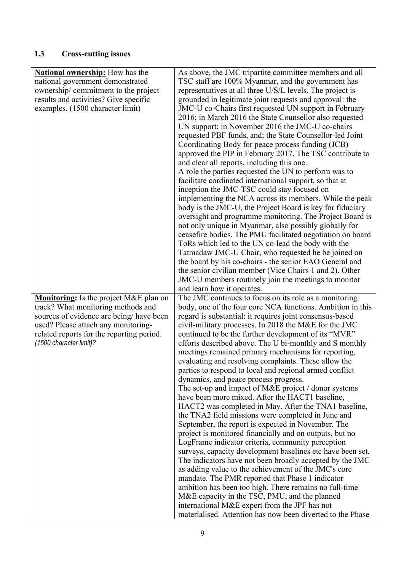# **1.3 Cross-cutting issues**

| <b>National ownership:</b> How has the        | As above, the JMC tripartite committee members and all                                                      |
|-----------------------------------------------|-------------------------------------------------------------------------------------------------------------|
| national government demonstrated              | TSC staff are 100% Myanmar, and the government has                                                          |
| ownership/commitment to the project           | representatives at all three U/S/L levels. The project is                                                   |
|                                               |                                                                                                             |
| results and activities? Give specific         | grounded in legitimate joint requests and approval: the                                                     |
| examples. (1500 character limit)              | JMC-U co-Chairs first requested UN support in February                                                      |
|                                               | 2016; in March 2016 the State Counsellor also requested                                                     |
|                                               | UN support; in November 2016 the JMC-U co-chairs                                                            |
|                                               | requested PBF funds, and; the State Counsellor-led Joint                                                    |
|                                               | Coordinating Body for peace process funding (JCB)                                                           |
|                                               | approved the PIP in February 2017. The TSC contribute to                                                    |
|                                               | and clear all reports, including this one.                                                                  |
|                                               | A role the parties requested the UN to perform was to                                                       |
|                                               | facilitate cordinated international support, so that at                                                     |
|                                               | inception the JMC-TSC could stay focused on                                                                 |
|                                               | implementing the NCA across its members. While the peak                                                     |
|                                               | body is the JMC-U, the Project Board is key for fiduciary                                                   |
|                                               | oversight and programme monitoring. The Project Board is                                                    |
|                                               | not only unique in Myanmar, also possibly globally for                                                      |
|                                               | ceasefire bodies. The PMU facilitated negotiation on board                                                  |
|                                               | ToRs which led to the UN co-lead the body with the                                                          |
|                                               | Tatmadaw JMC-U Chair, who requested he be joined on                                                         |
|                                               | the board by his co-chairs - the senior EAO General and                                                     |
|                                               | the senior civilian member (Vice Chairs 1 and 2). Other                                                     |
|                                               | JMC-U members routinely join the meetings to monitor                                                        |
|                                               | and learn how it operates.                                                                                  |
|                                               |                                                                                                             |
|                                               |                                                                                                             |
| <b>Monitoring:</b> Is the project M&E plan on | The JMC continues to focus on its role as a monitoring                                                      |
| track? What monitoring methods and            | body, one of the four core NCA functions. Ambition in this                                                  |
| sources of evidence are being/ have been      | regard is substantial: it requires joint consensus-based                                                    |
| used? Please attach any monitoring-           | civil-military processes. In 2018 the M&E for the JMC                                                       |
| related reports for the reporting period.     | continued to be the further development of its "MVR"                                                        |
| (1500 character limit)?                       | efforts described above. The U bi-monthly and S monthly                                                     |
|                                               | meetings remained primary mechanisms for reporting,                                                         |
|                                               | evaluating and resolving complaints. These allow the                                                        |
|                                               | parties to respond to local and regional armed conflict                                                     |
|                                               | dynamics, and peace process progress.                                                                       |
|                                               | The set-up and impact of M&E project / donor systems                                                        |
|                                               | have been more mixed. After the HACT1 baseline,                                                             |
|                                               | HACT2 was completed in May. After the TNA1 baseline,                                                        |
|                                               | the TNA2 field missions were completed in June and                                                          |
|                                               | September, the report is expected in November. The                                                          |
|                                               | project is monitored financially and on outputs, but no                                                     |
|                                               | LogFrame indicator criteria, community perception                                                           |
|                                               | surveys, capacity development baselines etc have been set.                                                  |
|                                               | The indicators have not been broadly accepted by the JMC                                                    |
|                                               | as adding value to the achievement of the JMC's core                                                        |
|                                               | mandate. The PMR reported that Phase 1 indicator                                                            |
|                                               | ambition has been too high. There remains no full-time                                                      |
|                                               | M&E capacity in the TSC, PMU, and the planned                                                               |
|                                               | international M&E expert from the JPF has not<br>materialised. Attention has now been diverted to the Phase |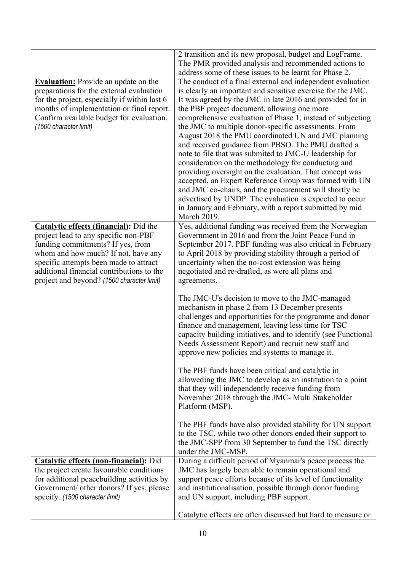|                                                                                                                                                                                                                                                                                                        | 2 transition and its new proposal, budget and LogFrame.<br>The PMR provided analysis and recommended actions to                                                                                                                                                                                                                                                                                                                   |
|--------------------------------------------------------------------------------------------------------------------------------------------------------------------------------------------------------------------------------------------------------------------------------------------------------|-----------------------------------------------------------------------------------------------------------------------------------------------------------------------------------------------------------------------------------------------------------------------------------------------------------------------------------------------------------------------------------------------------------------------------------|
|                                                                                                                                                                                                                                                                                                        | address some of these issues to be learnt for Phase 2.                                                                                                                                                                                                                                                                                                                                                                            |
| <b>Evaluation:</b> Provide an update on the                                                                                                                                                                                                                                                            | The conduct of a final external and independent evaluation                                                                                                                                                                                                                                                                                                                                                                        |
| preparations for the external evaluation<br>for the project, especially if within last 6<br>months of implementation or final report.<br>Confirm available budget for evaluation.<br>(1500 character limit)                                                                                            | is clearly an important and sensitive exercise for the JMC.<br>It was agreed by the JMC in late 2016 and provided for in<br>the PBF project document, allowing one more<br>comprehensive evaluation of Phase 1, instead of subjecting<br>the JMC to multiple donor-specific assessments. From<br>August 2018 the PMU coordinated UN and JMC planning<br>and received guidance from PBSO. The PMU drafted a                        |
|                                                                                                                                                                                                                                                                                                        | note to file that was submited to JMC-U leadership for<br>consideration on the methodology for conducting and<br>providing oversight on the evaluation. That concept was<br>accepted, an Expert Reference Group was formed with UN<br>and JMC co-chairs, and the procurement will shortly be<br>advertised by UNDP. The evaluation is expected to occur<br>in January and February, with a report submitted by mid<br>March 2019. |
| <b>Catalytic effects (financial):</b> Did the<br>project lead to any specific non-PBF<br>funding commitments? If yes, from<br>whom and how much? If not, have any<br>specific attempts been made to attract<br>additional financial contributions to the<br>project and beyond? (1500 character limit) | Yes, additional funding was received from the Norwegian<br>Government in 2016 and from the Joint Peace Fund in<br>September 2017. PBF funding was also critical in February<br>to April 2018 by providing stability through a period of<br>uncertainty when the no-cost extension was being<br>negotiated and re-drafted, as were all plans and<br>agreements.                                                                    |
|                                                                                                                                                                                                                                                                                                        | The JMC-U's decision to move to the JMC-managed<br>mechanism in phase 2 from 13 December presents<br>challenges and opportunities for the programme and donor<br>finance and management, leaving less time for TSC<br>capacity building initiatives, and to identify (see Functional<br>Needs Assessment Report) and recruit new staff and<br>approve new policies and systems to manage it.                                      |
|                                                                                                                                                                                                                                                                                                        | The PBF funds have been critical and catalytic in<br>alloweding the JMC to develop as an institution to a point<br>that they will independently receive funding from<br>November 2018 through the JMC- Multi Stakeholder<br>Platform (MSP).                                                                                                                                                                                       |
|                                                                                                                                                                                                                                                                                                        | The PBF funds have also provided stability for UN support<br>to the TSC, while two other donors ended their support to<br>the JMC-SPP from 30 September to fund the TSC directly<br>under the JMC-MSP.                                                                                                                                                                                                                            |
| <b>Catalytic effects (non-financial):</b> Did<br>the project create favourable conditions<br>for additional peacebuilding activities by<br>Government/ other donors? If yes, please<br>specify. (1500 character limit)                                                                                 | During a difficult period of Myanmar's peace process the<br>JMC has largely been able to remain operational and<br>support peace efforts because of its level of functionality<br>and institutionalisation, possible through donor funding<br>and UN support, including PBF support.                                                                                                                                              |
|                                                                                                                                                                                                                                                                                                        | Catalytic effects are often discussed but hard to measure or                                                                                                                                                                                                                                                                                                                                                                      |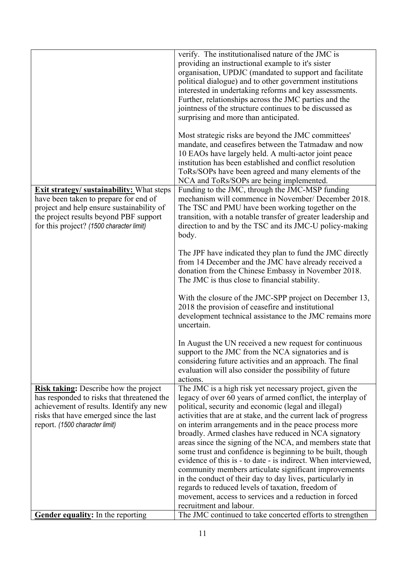|                                                                                                                                                                                                                              | verify. The institutionalised nature of the JMC is<br>providing an instructional example to it's sister<br>organisation, UPDJC (mandated to support and facilitate<br>political dialogue) and to other government institutions<br>interested in undertaking reforms and key assessments.<br>Further, relationships across the JMC parties and the<br>jointness of the structure continues to be discussed as<br>surprising and more than anticipated.<br>Most strategic risks are beyond the JMC committees'<br>mandate, and ceasefires between the Tatmadaw and now<br>10 EAOs have largely held. A multi-actor joint peace<br>institution has been established and conflict resolution<br>ToRs/SOPs have been agreed and many elements of the<br>NCA and ToRs/SOPs are being implemented.                                     |
|------------------------------------------------------------------------------------------------------------------------------------------------------------------------------------------------------------------------------|---------------------------------------------------------------------------------------------------------------------------------------------------------------------------------------------------------------------------------------------------------------------------------------------------------------------------------------------------------------------------------------------------------------------------------------------------------------------------------------------------------------------------------------------------------------------------------------------------------------------------------------------------------------------------------------------------------------------------------------------------------------------------------------------------------------------------------|
| <b>Exit strategy/ sustainability:</b> What steps<br>have been taken to prepare for end of<br>project and help ensure sustainability of<br>the project results beyond PBF support<br>for this project? (1500 character limit) | Funding to the JMC, through the JMC-MSP funding<br>mechanism will commence in November/ December 2018.<br>The TSC and PMU have been working together on the<br>transition, with a notable transfer of greater leadership and<br>direction to and by the TSC and its JMC-U policy-making<br>body.                                                                                                                                                                                                                                                                                                                                                                                                                                                                                                                                |
|                                                                                                                                                                                                                              | The JPF have indicated they plan to fund the JMC directly<br>from 14 December and the JMC have already received a<br>donation from the Chinese Embassy in November 2018.<br>The JMC is thus close to financial stability.                                                                                                                                                                                                                                                                                                                                                                                                                                                                                                                                                                                                       |
|                                                                                                                                                                                                                              | With the closure of the JMC-SPP project on December 13,<br>2018 the provision of ceasefire and institutional<br>development technical assistance to the JMC remains more<br>uncertain.                                                                                                                                                                                                                                                                                                                                                                                                                                                                                                                                                                                                                                          |
|                                                                                                                                                                                                                              | In August the UN received a new request for continuous<br>support to the JMC from the NCA signatories and is<br>considering future activities and an approach. The final<br>evaluation will also consider the possibility of future<br>actions.                                                                                                                                                                                                                                                                                                                                                                                                                                                                                                                                                                                 |
| <b>Risk taking:</b> Describe how the project<br>has responded to risks that threatened the<br>achievement of results. Identify any new<br>risks that have emerged since the last<br>report. (1500 character limit)           | The JMC is a high risk yet necessary project, given the<br>legacy of over 60 years of armed conflict, the interplay of<br>political, security and economic (legal and illegal)<br>activities that are at stake, and the current lack of progress<br>on interim arrangements and in the peace process more<br>broadly. Armed clashes have reduced in NCA signatory<br>areas since the signing of the NCA, and members state that<br>some trust and confidence is beginning to be built, though<br>evidence of this is - to date - is indirect. When interviewed,<br>community members articulate significant improvements<br>in the conduct of their day to day lives, particularly in<br>regards to reduced levels of taxation, freedom of<br>movement, access to services and a reduction in forced<br>recruitment and labour. |
| <b>Gender equality:</b> In the reporting                                                                                                                                                                                     | The JMC continued to take concerted efforts to strengthen                                                                                                                                                                                                                                                                                                                                                                                                                                                                                                                                                                                                                                                                                                                                                                       |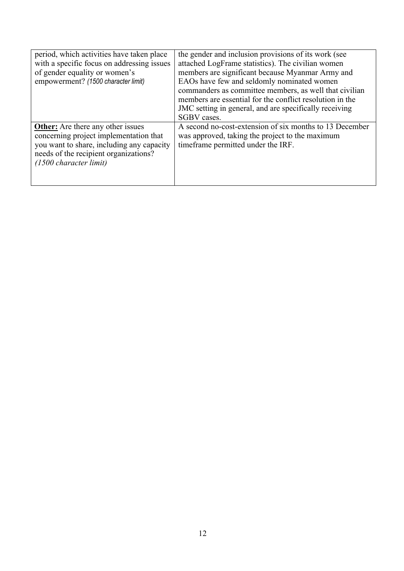| period, which activities have taken place<br>with a specific focus on addressing issues<br>of gender equality or women's<br>empowerment? (1500 character limit)                                              | the gender and inclusion provisions of its work (see<br>attached LogFrame statistics). The civilian women<br>members are significant because Myanmar Army and<br>EAOs have few and seldomly nominated women<br>commanders as committee members, as well that civilian<br>members are essential for the conflict resolution in the<br>JMC setting in general, and are specifically receiving<br>SGBV cases. |
|--------------------------------------------------------------------------------------------------------------------------------------------------------------------------------------------------------------|------------------------------------------------------------------------------------------------------------------------------------------------------------------------------------------------------------------------------------------------------------------------------------------------------------------------------------------------------------------------------------------------------------|
| <b>Other:</b> Are there any other issues<br>concerning project implementation that<br>you want to share, including any capacity<br>needs of the recipient organizations?<br>$(1500 \text{ character limit})$ | A second no-cost-extension of six months to 13 December<br>was approved, taking the project to the maximum<br>timeframe permitted under the IRF.                                                                                                                                                                                                                                                           |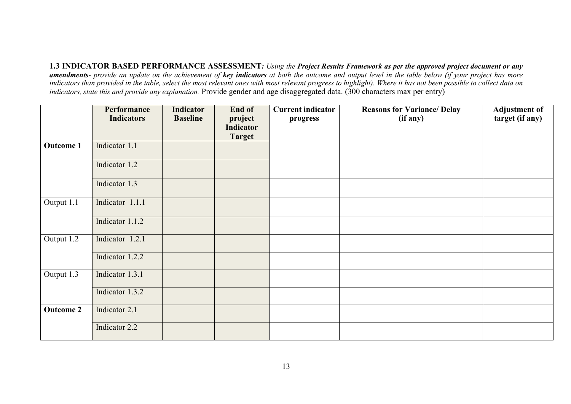**1.3 INDICATOR BASED PERFORMANCE ASSESSMENT***: Using the Project Results Framework as per the approved project document or any amendments- provide an update on the achievement of key indicators at both the outcome and output level in the table below (if your project has more indicators than provided in the table, select the most relevant ones with most relevant progress to highlight). Where it has not been possible to collect data on indicators, state this and provide any explanation.* Provide gender and age disaggregated data. (300 characters max per entry)

|                  | Performance<br><b>Indicators</b> | <b>Indicator</b><br><b>Baseline</b> | End of<br>project<br>Indicator | <b>Current indicator</b><br>progress | <b>Reasons for Variance/ Delay</b><br>(if any) | <b>Adjustment of</b><br>target (if any) |
|------------------|----------------------------------|-------------------------------------|--------------------------------|--------------------------------------|------------------------------------------------|-----------------------------------------|
|                  |                                  |                                     | <b>Target</b>                  |                                      |                                                |                                         |
| <b>Outcome 1</b> | Indicator 1.1                    |                                     |                                |                                      |                                                |                                         |
|                  | Indicator 1.2                    |                                     |                                |                                      |                                                |                                         |
|                  | Indicator 1.3                    |                                     |                                |                                      |                                                |                                         |
| Output 1.1       | Indicator 1.1.1                  |                                     |                                |                                      |                                                |                                         |
|                  | Indicator 1.1.2                  |                                     |                                |                                      |                                                |                                         |
| Output 1.2       | Indicator 1.2.1                  |                                     |                                |                                      |                                                |                                         |
|                  | Indicator 1.2.2                  |                                     |                                |                                      |                                                |                                         |
| Output 1.3       | Indicator 1.3.1                  |                                     |                                |                                      |                                                |                                         |
|                  | Indicator 1.3.2                  |                                     |                                |                                      |                                                |                                         |
| <b>Outcome 2</b> | Indicator 2.1                    |                                     |                                |                                      |                                                |                                         |
|                  | Indicator 2.2                    |                                     |                                |                                      |                                                |                                         |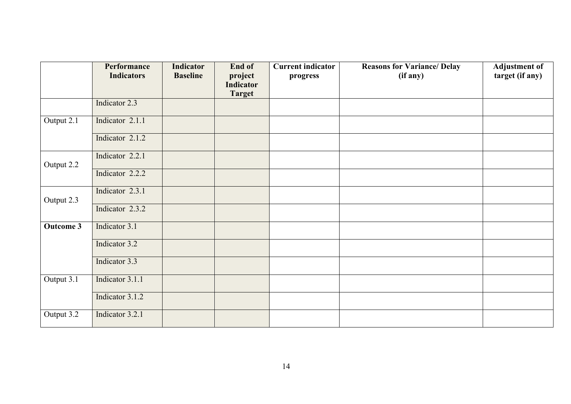|                         | Performance<br><b>Indicators</b> | <b>Indicator</b><br><b>Baseline</b> | End of<br>project          | <b>Current indicator</b><br>progress | <b>Reasons for Variance/ Delay</b><br>(if any) | <b>Adjustment of</b><br>target (if any) |
|-------------------------|----------------------------------|-------------------------------------|----------------------------|--------------------------------------|------------------------------------------------|-----------------------------------------|
|                         |                                  |                                     | Indicator<br><b>Target</b> |                                      |                                                |                                         |
|                         | Indicator 2.3                    |                                     |                            |                                      |                                                |                                         |
| Output 2.1              | Indicator 2.1.1                  |                                     |                            |                                      |                                                |                                         |
|                         | Indicator 2.1.2                  |                                     |                            |                                      |                                                |                                         |
| Output 2.2              | Indicator 2.2.1                  |                                     |                            |                                      |                                                |                                         |
|                         | Indicator 2.2.2                  |                                     |                            |                                      |                                                |                                         |
| Output 2.3              | Indicator 2.3.1                  |                                     |                            |                                      |                                                |                                         |
|                         | Indicator 2.3.2                  |                                     |                            |                                      |                                                |                                         |
| <b>Outcome 3</b>        | Indicator 3.1                    |                                     |                            |                                      |                                                |                                         |
|                         | Indicator 3.2                    |                                     |                            |                                      |                                                |                                         |
|                         | Indicator 3.3                    |                                     |                            |                                      |                                                |                                         |
| Output 3.1              | Indicator 3.1.1                  |                                     |                            |                                      |                                                |                                         |
|                         | Indicator 3.1.2                  |                                     |                            |                                      |                                                |                                         |
| Output $3.\overline{2}$ | Indicator 3.2.1                  |                                     |                            |                                      |                                                |                                         |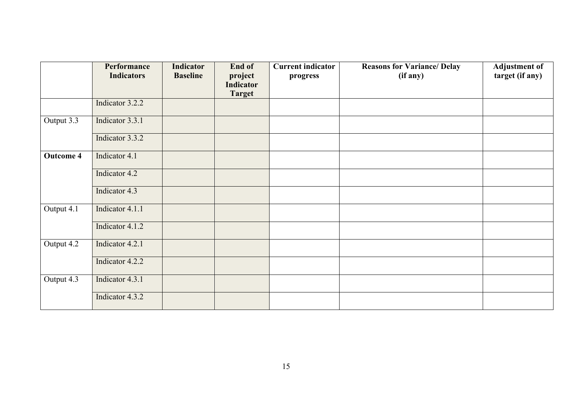|                         | Performance<br><b>Indicators</b> | <b>Indicator</b><br><b>Baseline</b> | End of<br>project<br>Indicator | <b>Current indicator</b><br>progress | <b>Reasons for Variance/ Delay</b><br>(if any) | <b>Adjustment of</b><br>target (if any) |
|-------------------------|----------------------------------|-------------------------------------|--------------------------------|--------------------------------------|------------------------------------------------|-----------------------------------------|
|                         |                                  |                                     | <b>Target</b>                  |                                      |                                                |                                         |
|                         | Indicator 3.2.2                  |                                     |                                |                                      |                                                |                                         |
| Output 3.3              | Indicator 3.3.1                  |                                     |                                |                                      |                                                |                                         |
|                         | Indicator 3.3.2                  |                                     |                                |                                      |                                                |                                         |
| <b>Outcome 4</b>        | Indicator 4.1                    |                                     |                                |                                      |                                                |                                         |
|                         | Indicator 4.2                    |                                     |                                |                                      |                                                |                                         |
|                         | Indicator 4.3                    |                                     |                                |                                      |                                                |                                         |
| Output $\overline{4.1}$ | Indicator 4.1.1                  |                                     |                                |                                      |                                                |                                         |
|                         | Indicator 4.1.2                  |                                     |                                |                                      |                                                |                                         |
| Output 4.2              | Indicator 4.2.1                  |                                     |                                |                                      |                                                |                                         |
|                         | Indicator 4.2.2                  |                                     |                                |                                      |                                                |                                         |
| Output $4.\overline{3}$ | Indicator 4.3.1                  |                                     |                                |                                      |                                                |                                         |
|                         | Indicator 4.3.2                  |                                     |                                |                                      |                                                |                                         |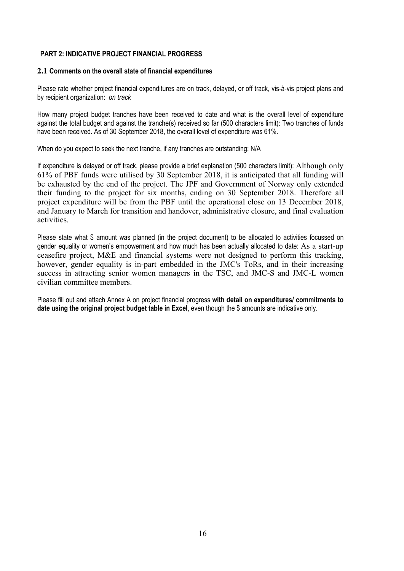## **PART 2: INDICATIVE PROJECT FINANCIAL PROGRESS**

#### **2.1 Comments on the overall state of financial expenditures**

Please rate whether project financial expenditures are on track, delayed, or off track, vis-à-vis project plans and by recipient organization: *on track*

How many project budget tranches have been received to date and what is the overall level of expenditure against the total budget and against the tranche(s) received so far (500 characters limit): Two tranches of funds have been received. As of 30 September 2018, the overall level of expenditure was 61%.

When do you expect to seek the next tranche, if any tranches are outstanding: N/A

If expenditure is delayed or off track, please provide a brief explanation (500 characters limit): Although only 61% of PBF funds were utilised by 30 September 2018, it is anticipated that all funding will be exhausted by the end of the project. The JPF and Government of Norway only extended their funding to the project for six months, ending on 30 September 2018. Therefore all project expenditure will be from the PBF until the operational close on 13 December 2018, and January to March for transition and handover, administrative closure, and final evaluation activities.

Please state what \$ amount was planned (in the project document) to be allocated to activities focussed on gender equality or women's empowerment and how much has been actually allocated to date: As a start-up ceasefire project, M&E and financial systems were not designed to perform this tracking, however, gender equality is in-part embedded in the JMC's ToRs, and in their increasing success in attracting senior women managers in the TSC, and JMC-S and JMC-L women civilian committee members.

Please fill out and attach Annex A on project financial progress **with detail on expenditures/ commitments to date using the original project budget table in Excel**, even though the \$ amounts are indicative only.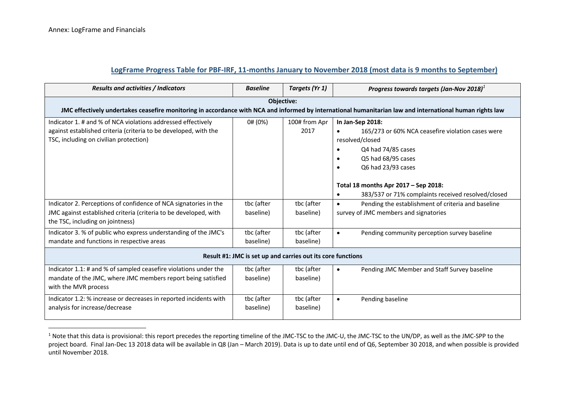# **LogFrame Progress Table for PBF-IRF, 11-months January to November 2018 (most data is 9 months to September)**

| <b>Results and activities / Indicators</b>                                                                                                                                 | <b>Baseline</b>         | Targets (Yr 1)                                              | Progress towards targets (Jan-Nov 2018) <sup>1</sup>                                                                                                                                                                                                     |  |  |  |
|----------------------------------------------------------------------------------------------------------------------------------------------------------------------------|-------------------------|-------------------------------------------------------------|----------------------------------------------------------------------------------------------------------------------------------------------------------------------------------------------------------------------------------------------------------|--|--|--|
| Objective:<br>JMC effectively undertakes ceasefire monitoring in accordance with NCA and informed by international humanitarian law and international human rights law     |                         |                                                             |                                                                                                                                                                                                                                                          |  |  |  |
| Indicator 1. # and % of NCA violations addressed effectively<br>against established criteria (criteria to be developed, with the<br>TSC, including on civilian protection) | 0# (0%)                 | 100# from Apr<br>2017                                       | In Jan-Sep 2018:<br>165/273 or 60% NCA ceasefire violation cases were<br>resolved/closed<br>Q4 had 74/85 cases<br>Q5 had 68/95 cases<br>Q6 had 23/93 cases<br>Total 18 months Apr 2017 - Sep 2018:<br>383/537 or 71% complaints received resolved/closed |  |  |  |
| Indicator 2. Perceptions of confidence of NCA signatories in the<br>JMC against established criteria (criteria to be developed, with<br>the TSC, including on jointness)   | tbc (after<br>baseline) | tbc (after<br>baseline)                                     | Pending the establishment of criteria and baseline<br>$\bullet$<br>survey of JMC members and signatories                                                                                                                                                 |  |  |  |
| Indicator 3. % of public who express understanding of the JMC's<br>mandate and functions in respective areas                                                               | tbc (after<br>baseline) | tbc (after<br>baseline)                                     | Pending community perception survey baseline<br>$\bullet$                                                                                                                                                                                                |  |  |  |
|                                                                                                                                                                            |                         | Result #1: JMC is set up and carries out its core functions |                                                                                                                                                                                                                                                          |  |  |  |
| Indicator 1.1: # and % of sampled ceasefire violations under the<br>mandate of the JMC, where JMC members report being satisfied<br>with the MVR process                   | tbc (after<br>baseline) | tbc (after<br>baseline)                                     | Pending JMC Member and Staff Survey baseline<br>$\bullet$                                                                                                                                                                                                |  |  |  |
| Indicator 1.2: % increase or decreases in reported incidents with<br>analysis for increase/decrease                                                                        | tbc (after<br>baseline) | tbc (after<br>baseline)                                     | Pending baseline<br>$\bullet$                                                                                                                                                                                                                            |  |  |  |

<sup>&</sup>lt;sup>1</sup> Note that this data is provisional: this report precedes the reporting timeline of the JMC-TSC to the JMC-U, the JMC-TSC to the UN/DP, as well as the JMC-SPP to the project board. Final Jan-Dec 13 2018 data will be available in Q8 (Jan – March 2019). Data is up to date until end of Q6, September 30 2018, and when possible is provided until November 2018.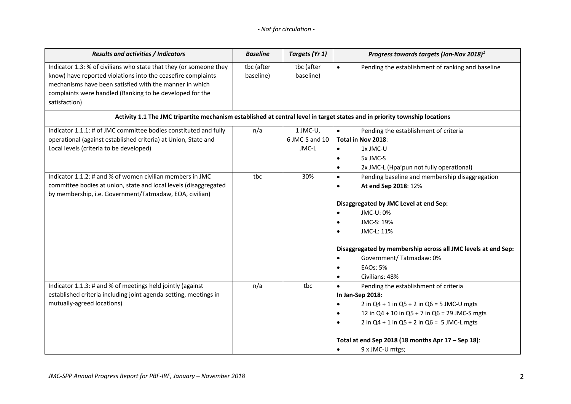# *- Not for circulation -*

| Results and activities / Indicators                                                                                                                                                                                                                                        | <b>Baseline</b>         | Targets (Yr 1)                      | Progress towards targets (Jan-Nov 2018) $1$                                                                                                                                                                                                                                                                                                |
|----------------------------------------------------------------------------------------------------------------------------------------------------------------------------------------------------------------------------------------------------------------------------|-------------------------|-------------------------------------|--------------------------------------------------------------------------------------------------------------------------------------------------------------------------------------------------------------------------------------------------------------------------------------------------------------------------------------------|
| Indicator 1.3: % of civilians who state that they (or someone they<br>know) have reported violations into the ceasefire complaints<br>mechanisms have been satisfied with the manner in which<br>complaints were handled (Ranking to be developed for the<br>satisfaction) | tbc (after<br>baseline) | tbc (after<br>baseline)             | Pending the establishment of ranking and baseline<br>$\bullet$                                                                                                                                                                                                                                                                             |
|                                                                                                                                                                                                                                                                            |                         |                                     | Activity 1.1 The JMC tripartite mechanism established at central level in target states and in priority township locations                                                                                                                                                                                                                 |
| Indicator 1.1.1: # of JMC committee bodies constituted and fully<br>operational (against established criteria) at Union, State and<br>Local levels (criteria to be developed)                                                                                              | n/a                     | 1 JMC-U,<br>6 JMC-S and 10<br>JMC-L | Pending the establishment of criteria<br>$\bullet$<br>Total in Nov 2018:<br>1x JMC-U<br>$\bullet$<br>5x JMC-S<br>2x JMC-L (Hpa'pun not fully operational)<br>$\bullet$                                                                                                                                                                     |
| Indicator 1.1.2: # and % of women civilian members in JMC<br>committee bodies at union, state and local levels (disaggregated<br>by membership, i.e. Government/Tatmadaw, EOA, civilian)                                                                                   | tbc                     | 30%                                 | Pending baseline and membership disaggregation<br>$\bullet$<br>At end Sep 2018: 12%<br>$\bullet$<br>Disaggregated by JMC Level at end Sep:<br>JMC-U: 0%<br>JMC-S: 19%<br>JMC-L: 11%<br>Disaggregated by membership across all JMC levels at end Sep:<br>Government/Tatmadaw: 0%<br><b>EAOs: 5%</b><br>Civilians: 48%<br>$\bullet$          |
| Indicator 1.1.3: # and % of meetings held jointly (against<br>established criteria including joint agenda-setting, meetings in<br>mutually-agreed locations)                                                                                                               | n/a                     | tbc                                 | Pending the establishment of criteria<br>$\bullet$<br>In Jan-Sep 2018:<br>2 in $Q4 + 1$ in $Q5 + 2$ in $Q6 = 5$ JMC-U mgts<br>$\bullet$<br>12 in $Q4 + 10$ in $Q5 + 7$ in $Q6 = 29$ JMC-S mgts<br>2 in $Q4 + 1$ in $Q5 + 2$ in $Q6 = 5$ JMC-L mgts<br>Total at end Sep 2018 (18 months Apr $17 -$ Sep 18):<br>9 x JMC-U mtgs;<br>$\bullet$ |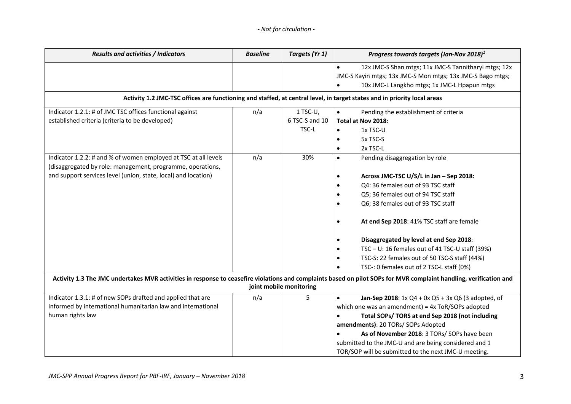| Results and activities / Indicators                                                                                      | <b>Baseline</b> | Targets (Yr 1)          | Progress towards targets (Jan-Nov 2018) $1$                                                                                                                        |  |  |
|--------------------------------------------------------------------------------------------------------------------------|-----------------|-------------------------|--------------------------------------------------------------------------------------------------------------------------------------------------------------------|--|--|
|                                                                                                                          |                 |                         | 12x JMC-S Shan mtgs; 11x JMC-S Tannitharyi mtgs; 12x<br>$\bullet$                                                                                                  |  |  |
|                                                                                                                          |                 |                         | JMC-S Kayin mtgs; 13x JMC-S Mon mtgs; 13x JMC-S Bago mtgs;                                                                                                         |  |  |
|                                                                                                                          |                 |                         | 10x JMC-L Langkho mtgs; 1x JMC-L Hpapun mtgs<br>$\bullet$                                                                                                          |  |  |
| Activity 1.2 JMC-TSC offices are functioning and staffed, at central level, in target states and in priority local areas |                 |                         |                                                                                                                                                                    |  |  |
| Indicator 1.2.1: # of JMC TSC offices functional against                                                                 | n/a             | 1 TSC-U,                | Pending the establishment of criteria<br>$\bullet$                                                                                                                 |  |  |
| established criteria (criteria to be developed)                                                                          |                 | 6 TSC-S and 10          | Total at Nov 2018:                                                                                                                                                 |  |  |
|                                                                                                                          |                 | TSC-L                   | 1x TSC-U<br>$\bullet$                                                                                                                                              |  |  |
|                                                                                                                          |                 |                         | 5x TSC-S<br>$\bullet$                                                                                                                                              |  |  |
|                                                                                                                          |                 |                         | 2x TSC-L<br>$\bullet$                                                                                                                                              |  |  |
| Indicator 1.2.2: # and % of women employed at TSC at all levels                                                          | n/a             | 30%                     | Pending disaggregation by role<br>$\bullet$                                                                                                                        |  |  |
| (disaggregated by role: management, programme, operations,                                                               |                 |                         |                                                                                                                                                                    |  |  |
| and support services level (union, state, local) and location)                                                           |                 |                         | Across JMC-TSC U/S/L in Jan - Sep 2018:                                                                                                                            |  |  |
|                                                                                                                          |                 |                         | Q4: 36 females out of 93 TSC staff                                                                                                                                 |  |  |
|                                                                                                                          |                 |                         | Q5; 36 females out of 94 TSC staff<br>٠                                                                                                                            |  |  |
|                                                                                                                          |                 |                         | Q6; 38 females out of 93 TSC staff                                                                                                                                 |  |  |
|                                                                                                                          |                 |                         | At end Sep 2018: 41% TSC staff are female<br>$\bullet$                                                                                                             |  |  |
|                                                                                                                          |                 |                         | Disaggregated by level at end Sep 2018:<br>$\bullet$                                                                                                               |  |  |
|                                                                                                                          |                 |                         | TSC - U: 16 females out of 41 TSC-U staff (39%)                                                                                                                    |  |  |
|                                                                                                                          |                 |                         | TSC-S: 22 females out of 50 TSC-S staff (44%)                                                                                                                      |  |  |
|                                                                                                                          |                 |                         | TSC-: 0 females out of 2 TSC-L staff (0%)                                                                                                                          |  |  |
|                                                                                                                          |                 |                         | Activity 1.3 The JMC undertakes MVR activities in response to ceasefire violations and complaints based on pilot SOPs for MVR complaint handling, verification and |  |  |
|                                                                                                                          |                 | joint mobile monitoring |                                                                                                                                                                    |  |  |
| Indicator 1.3.1: # of new SOPs drafted and applied that are                                                              | n/a             | 5                       | Jan-Sep 2018: $1x$ Q4 + 0x Q5 + 3x Q6 (3 adopted, of<br>$\bullet$                                                                                                  |  |  |
| informed by international humanitarian law and international                                                             |                 |                         | which one was an amendment) = 4x ToR/SOPs adopted                                                                                                                  |  |  |
| human rights law                                                                                                         |                 |                         | Total SOPs/ TORS at end Sep 2018 (not including                                                                                                                    |  |  |
|                                                                                                                          |                 |                         | amendments): 20 TORs/ SOPs Adopted                                                                                                                                 |  |  |
|                                                                                                                          |                 |                         | As of November 2018: 3 TORs/ SOPs have been                                                                                                                        |  |  |
|                                                                                                                          |                 |                         | submitted to the JMC-U and are being considered and 1                                                                                                              |  |  |
|                                                                                                                          |                 |                         | TOR/SOP will be submitted to the next JMC-U meeting.                                                                                                               |  |  |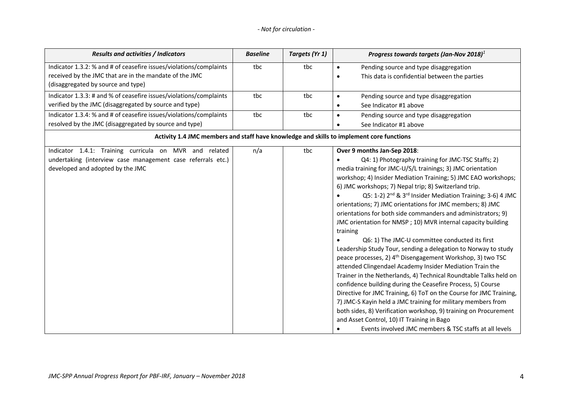|  | - Not for circulation - |  |  |  |  |
|--|-------------------------|--|--|--|--|
|--|-------------------------|--|--|--|--|

| <b>Results and activities / Indicators</b>                                                                                                                         | <b>Baseline</b> | Targets (Yr 1) | Progress towards targets (Jan-Nov 2018) $1$                                                                                                                                                                                                                                                                                                                                                                                                                                                                                                                                                                                                                                                                                                                                                                                                                                                                                                                                                                                                                                                                                                                                                                                                                                                   |
|--------------------------------------------------------------------------------------------------------------------------------------------------------------------|-----------------|----------------|-----------------------------------------------------------------------------------------------------------------------------------------------------------------------------------------------------------------------------------------------------------------------------------------------------------------------------------------------------------------------------------------------------------------------------------------------------------------------------------------------------------------------------------------------------------------------------------------------------------------------------------------------------------------------------------------------------------------------------------------------------------------------------------------------------------------------------------------------------------------------------------------------------------------------------------------------------------------------------------------------------------------------------------------------------------------------------------------------------------------------------------------------------------------------------------------------------------------------------------------------------------------------------------------------|
| Indicator 1.3.2: % and # of ceasefire issues/violations/complaints<br>received by the JMC that are in the mandate of the JMC<br>(disaggregated by source and type) | tbc             | tbc            | Pending source and type disaggregation<br>$\bullet$<br>This data is confidential between the parties<br>$\bullet$                                                                                                                                                                                                                                                                                                                                                                                                                                                                                                                                                                                                                                                                                                                                                                                                                                                                                                                                                                                                                                                                                                                                                                             |
| Indicator 1.3.3: # and % of ceasefire issues/violations/complaints<br>verified by the JMC (disaggregated by source and type)                                       | tbc             | tbc            | Pending source and type disaggregation<br>$\bullet$<br>See Indicator #1 above                                                                                                                                                                                                                                                                                                                                                                                                                                                                                                                                                                                                                                                                                                                                                                                                                                                                                                                                                                                                                                                                                                                                                                                                                 |
| Indicator 1.3.4: % and # of ceasefire issues/violations/complaints<br>resolved by the JMC (disaggregated by source and type)                                       | tbc             | tbc            | Pending source and type disaggregation<br>$\bullet$<br>See Indicator #1 above<br>$\bullet$                                                                                                                                                                                                                                                                                                                                                                                                                                                                                                                                                                                                                                                                                                                                                                                                                                                                                                                                                                                                                                                                                                                                                                                                    |
|                                                                                                                                                                    |                 |                | Activity 1.4 JMC members and staff have knowledge and skills to implement core functions                                                                                                                                                                                                                                                                                                                                                                                                                                                                                                                                                                                                                                                                                                                                                                                                                                                                                                                                                                                                                                                                                                                                                                                                      |
| Indicator 1.4.1: Training curricula on MVR and related<br>undertaking (interview case management case referrals etc.)<br>developed and adopted by the JMC          | n/a             | tbc            | Over 9 months Jan-Sep 2018:<br>Q4: 1) Photography training for JMC-TSC Staffs; 2)<br>media training for JMC-U/S/L trainings; 3) JMC orientation<br>workshop; 4) Insider Mediation Training; 5) JMC EAO workshops;<br>6) JMC workshops; 7) Nepal trip; 8) Switzerland trip.<br>Q5: 1-2) 2 <sup>nd</sup> & 3 <sup>rd</sup> Insider Mediation Training; 3-6) 4 JMC<br>orientations; 7) JMC orientations for JMC members; 8) JMC<br>orientations for both side commanders and administrators; 9)<br>JMC orientation for NMSP; 10) MVR internal capacity building<br>training<br>Q6: 1) The JMC-U committee conducted its first<br>Leadership Study Tour, sending a delegation to Norway to study<br>peace processes, 2) 4 <sup>th</sup> Disengagement Workshop, 3) two TSC<br>attended Clingendael Academy Insider Mediation Train the<br>Trainer in the Netherlands, 4) Technical Roundtable Talks held on<br>confidence building during the Ceasefire Process, 5) Course<br>Directive for JMC Training, 6) ToT on the Course for JMC Training,<br>7) JMC-S Kayin held a JMC training for military members from<br>both sides, 8) Verification workshop, 9) training on Procurement<br>and Asset Control, 10) IT Training in Bago<br>Events involved JMC members & TSC staffs at all levels<br>٠ |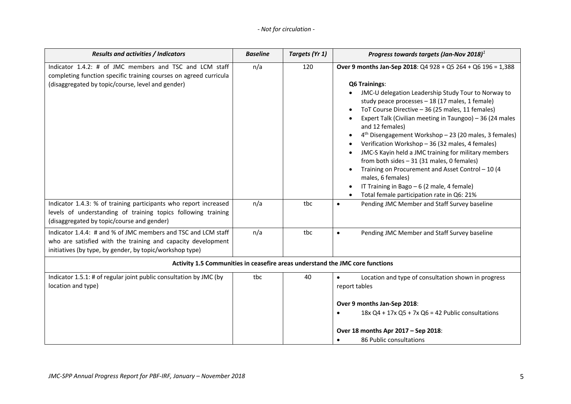| <b>Results and activities / Indicators</b>                                                                                                                                                | <b>Baseline</b> | Targets (Yr 1) | Progress towards targets (Jan-Nov 2018) $1$                                                                                                                                                                                                                                                                                                                                                                                                                                                                                                                                                                                                                                                                                            |  |
|-------------------------------------------------------------------------------------------------------------------------------------------------------------------------------------------|-----------------|----------------|----------------------------------------------------------------------------------------------------------------------------------------------------------------------------------------------------------------------------------------------------------------------------------------------------------------------------------------------------------------------------------------------------------------------------------------------------------------------------------------------------------------------------------------------------------------------------------------------------------------------------------------------------------------------------------------------------------------------------------------|--|
| Indicator 1.4.2: # of JMC members and TSC and LCM staff<br>completing function specific training courses on agreed curricula<br>(disaggregated by topic/course, level and gender)         | n/a             | 120            | Over 9 months Jan-Sep 2018: $Q4928 + Q5264 + Q6196 = 1,388$<br><b>Q6 Trainings:</b><br>JMC-U delegation Leadership Study Tour to Norway to<br>study peace processes - 18 (17 males, 1 female)<br>ToT Course Directive - 36 (25 males, 11 females)<br>Expert Talk (Civilian meeting in Taungoo) - 36 (24 males<br>and 12 females)<br>4 <sup>th</sup> Disengagement Workshop - 23 (20 males, 3 females)<br>Verification Workshop - 36 (32 males, 4 females)<br>JMC-S Kayin held a JMC training for military members<br>from both sides $-31$ (31 males, 0 females)<br>Training on Procurement and Asset Control - 10 (4<br>males, 6 females)<br>IT Training in Bago - 6 (2 male, 4 female)<br>Total female participation rate in Q6: 21% |  |
| Indicator 1.4.3: % of training participants who report increased<br>levels of understanding of training topics following training<br>(disaggregated by topic/course and gender)           | n/a             | tbc            | Pending JMC Member and Staff Survey baseline<br>$\bullet$                                                                                                                                                                                                                                                                                                                                                                                                                                                                                                                                                                                                                                                                              |  |
| Indicator 1.4.4: # and % of JMC members and TSC and LCM staff<br>who are satisfied with the training and capacity development<br>initiatives (by type, by gender, by topic/workshop type) | n/a             | tbc            | Pending JMC Member and Staff Survey baseline<br>$\bullet$                                                                                                                                                                                                                                                                                                                                                                                                                                                                                                                                                                                                                                                                              |  |
| Activity 1.5 Communities in ceasefire areas understand the JMC core functions                                                                                                             |                 |                |                                                                                                                                                                                                                                                                                                                                                                                                                                                                                                                                                                                                                                                                                                                                        |  |
| Indicator 1.5.1: # of regular joint public consultation by JMC (by<br>location and type)                                                                                                  | tbc             | 40             | Location and type of consultation shown in progress<br>$\bullet$<br>report tables<br>Over 9 months Jan-Sep 2018:<br>$18x$ Q4 + $17x$ Q5 + 7x Q6 = 42 Public consultations<br>Over 18 months Apr 2017 - Sep 2018:<br>86 Public consultations                                                                                                                                                                                                                                                                                                                                                                                                                                                                                            |  |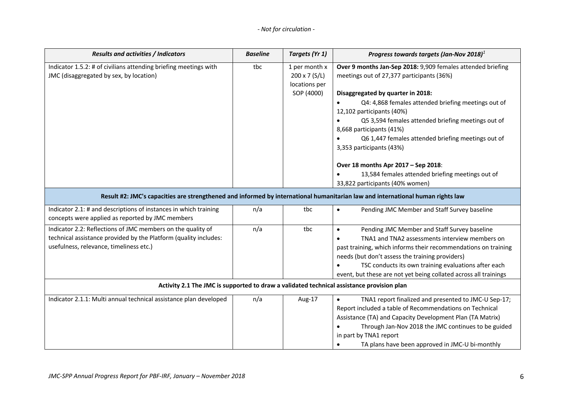| <b>Results and activities / Indicators</b>                                                                                                                                 | <b>Baseline</b> | Targets (Yr 1)                                                       | Progress towards targets (Jan-Nov 2018) $1$                                                                                                                                                                                                                                                                                                                  |  |  |  |
|----------------------------------------------------------------------------------------------------------------------------------------------------------------------------|-----------------|----------------------------------------------------------------------|--------------------------------------------------------------------------------------------------------------------------------------------------------------------------------------------------------------------------------------------------------------------------------------------------------------------------------------------------------------|--|--|--|
| Indicator 1.5.2: # of civilians attending briefing meetings with<br>JMC (disaggregated by sex, by location)                                                                | tbc             | 1 per month x<br>$200 \times 7$ (S/L)<br>locations per<br>SOP (4000) | Over 9 months Jan-Sep 2018: 9,909 females attended briefing<br>meetings out of 27,377 participants (36%)<br>Disaggregated by quarter in 2018:<br>Q4: 4,868 females attended briefing meetings out of<br>12,102 participants (40%)<br>Q5 3,594 females attended briefing meetings out of<br>8,668 participants (41%)                                          |  |  |  |
|                                                                                                                                                                            |                 |                                                                      | Q6 1,447 females attended briefing meetings out of<br>3,353 participants (43%)<br>Over 18 months Apr 2017 - Sep 2018:<br>13,584 females attended briefing meetings out of<br>33,822 participants (40% women)                                                                                                                                                 |  |  |  |
|                                                                                                                                                                            |                 |                                                                      | Result #2: JMC's capacities are strengthened and informed by international humanitarian law and international human rights law                                                                                                                                                                                                                               |  |  |  |
| Indicator 2.1: # and descriptions of instances in which training<br>concepts were applied as reported by JMC members                                                       | n/a             | tbc                                                                  | Pending JMC Member and Staff Survey baseline<br>$\bullet$                                                                                                                                                                                                                                                                                                    |  |  |  |
| Indicator 2.2: Reflections of JMC members on the quality of<br>technical assistance provided by the Platform (quality includes:<br>usefulness, relevance, timeliness etc.) | n/a             | tbc                                                                  | Pending JMC Member and Staff Survey baseline<br>$\bullet$<br>TNA1 and TNA2 assessments interview members on<br>past training, which informs their recommendations on training<br>needs (but don't assess the training providers)<br>TSC conducts its own training evaluations after each<br>event, but these are not yet being collated across all trainings |  |  |  |
|                                                                                                                                                                            |                 |                                                                      | Activity 2.1 The JMC is supported to draw a validated technical assistance provision plan                                                                                                                                                                                                                                                                    |  |  |  |
| Indicator 2.1.1: Multi annual technical assistance plan developed                                                                                                          | n/a             | Aug-17                                                               | TNA1 report finalized and presented to JMC-U Sep-17;<br>$\bullet$<br>Report included a table of Recommendations on Technical<br>Assistance (TA) and Capacity Development Plan (TA Matrix)<br>Through Jan-Nov 2018 the JMC continues to be guided<br>in part by TNA1 report<br>TA plans have been approved in JMC-U bi-monthly                                |  |  |  |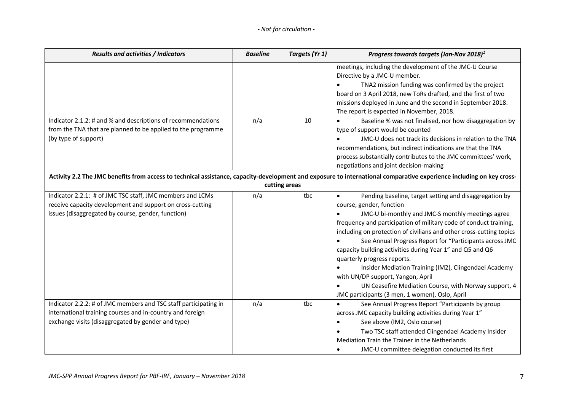| Results and activities / Indicators                                                                                                                                                 | <b>Baseline</b> | Targets (Yr 1) | Progress towards targets (Jan-Nov 2018) $1$                                                                                                                                                                                                                                                                                                                                                                                                                                                                                                                                                                                                                                   |
|-------------------------------------------------------------------------------------------------------------------------------------------------------------------------------------|-----------------|----------------|-------------------------------------------------------------------------------------------------------------------------------------------------------------------------------------------------------------------------------------------------------------------------------------------------------------------------------------------------------------------------------------------------------------------------------------------------------------------------------------------------------------------------------------------------------------------------------------------------------------------------------------------------------------------------------|
|                                                                                                                                                                                     |                 |                | meetings, including the development of the JMC-U Course<br>Directive by a JMC-U member.<br>TNA2 mission funding was confirmed by the project                                                                                                                                                                                                                                                                                                                                                                                                                                                                                                                                  |
|                                                                                                                                                                                     |                 |                | board on 3 April 2018, new ToRs drafted, and the first of two<br>missions deployed in June and the second in September 2018.<br>The report is expected in November, 2018.                                                                                                                                                                                                                                                                                                                                                                                                                                                                                                     |
| Indicator 2.1.2: # and % and descriptions of recommendations<br>from the TNA that are planned to be applied to the programme                                                        | n/a             | 10             | Baseline % was not finalised, nor how disaggregation by<br>type of support would be counted                                                                                                                                                                                                                                                                                                                                                                                                                                                                                                                                                                                   |
| (by type of support)                                                                                                                                                                |                 |                | JMC-U does not track its decisions in relation to the TNA<br>recommendations, but indirect indications are that the TNA<br>process substantially contributes to the JMC committees' work,<br>negotiations and joint decision-making                                                                                                                                                                                                                                                                                                                                                                                                                                           |
|                                                                                                                                                                                     |                 | cutting areas  | Activity 2.2 The JMC benefits from access to technical assistance, capacity-development and exposure to international comparative experience including on key cross-                                                                                                                                                                                                                                                                                                                                                                                                                                                                                                          |
| Indicator 2.2.1: # of JMC TSC staff, JMC members and LCMs<br>receive capacity development and support on cross-cutting<br>issues (disaggregated by course, gender, function)        | n/a             | tbc            | Pending baseline, target setting and disaggregation by<br>$\bullet$<br>course, gender, function<br>JMC-U bi-monthly and JMC-S monthly meetings agree<br>$\bullet$<br>frequency and participation of military code of conduct training,<br>including on protection of civilians and other cross-cutting topics<br>See Annual Progress Report for "Participants across JMC<br>capacity building activities during Year 1" and Q5 and Q6<br>quarterly progress reports.<br>Insider Mediation Training (IM2), Clingendael Academy<br>with UN/DP support, Yangon, April<br>UN Ceasefire Mediation Course, with Norway support, 4<br>JMC participants (3 men, 1 women), Oslo, April |
| Indicator 2.2.2: # of JMC members and TSC staff participating in<br>international training courses and in-country and foreign<br>exchange visits (disaggregated by gender and type) | n/a             | tbc            | See Annual Progress Report "Participants by group<br>$\bullet$<br>across JMC capacity building activities during Year 1"<br>See above (IM2, Oslo course)<br>$\bullet$<br>Two TSC staff attended Clingendael Academy Insider<br>Mediation Train the Trainer in the Netherlands<br>JMC-U committee delegation conducted its first                                                                                                                                                                                                                                                                                                                                               |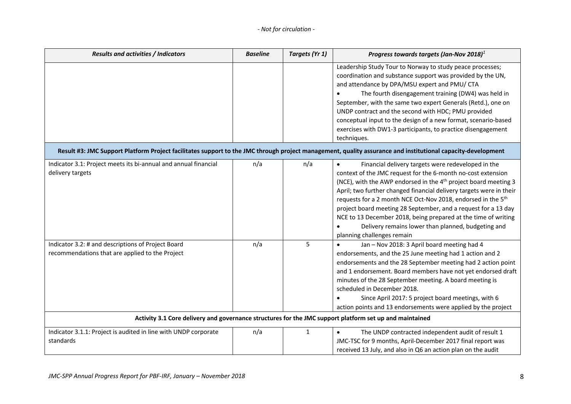| <b>Results and activities / Indicators</b>                                                                                                                  | <b>Baseline</b> | Targets (Yr 1) | Progress towards targets (Jan-Nov 2018) $1$                                                                                                                                                                                                                                                                                                                                                                                                                                                                                                                                   |  |  |
|-------------------------------------------------------------------------------------------------------------------------------------------------------------|-----------------|----------------|-------------------------------------------------------------------------------------------------------------------------------------------------------------------------------------------------------------------------------------------------------------------------------------------------------------------------------------------------------------------------------------------------------------------------------------------------------------------------------------------------------------------------------------------------------------------------------|--|--|
|                                                                                                                                                             |                 |                | Leadership Study Tour to Norway to study peace processes;<br>coordination and substance support was provided by the UN,<br>and attendance by DPA/MSU expert and PMU/ CTA<br>The fourth disengagement training (DW4) was held in<br>September, with the same two expert Generals (Retd.), one on<br>UNDP contract and the second with HDC; PMU provided<br>conceptual input to the design of a new format, scenario-based<br>exercises with DW1-3 participants, to practice disengagement<br>techniques.                                                                       |  |  |
| Result #3: JMC Support Platform Project facilitates support to the JMC through project management, quality assurance and institutional capacity-development |                 |                |                                                                                                                                                                                                                                                                                                                                                                                                                                                                                                                                                                               |  |  |
| Indicator 3.1: Project meets its bi-annual and annual financial<br>delivery targets                                                                         | n/a             | n/a            | Financial delivery targets were redeveloped in the<br>$\bullet$<br>context of the JMC request for the 6-month no-cost extension<br>(NCE), with the AWP endorsed in the 4 <sup>th</sup> project board meeting 3<br>April; two further changed financial delivery targets were in their<br>requests for a 2 month NCE Oct-Nov 2018, endorsed in the 5th<br>project board meeting 28 September, and a request for a 13 day<br>NCE to 13 December 2018, being prepared at the time of writing<br>Delivery remains lower than planned, budgeting and<br>planning challenges remain |  |  |
| Indicator 3.2: # and descriptions of Project Board<br>recommendations that are applied to the Project                                                       | n/a             | 5              | Jan - Nov 2018: 3 April board meeting had 4<br>endorsements, and the 25 June meeting had 1 action and 2<br>endorsements and the 28 September meeting had 2 action point<br>and 1 endorsement. Board members have not yet endorsed draft<br>minutes of the 28 September meeting. A board meeting is<br>scheduled in December 2018.<br>Since April 2017: 5 project board meetings, with 6<br>action points and 13 endorsements were applied by the project                                                                                                                      |  |  |
| Activity 3.1 Core delivery and governance structures for the JMC support platform set up and maintained                                                     |                 |                |                                                                                                                                                                                                                                                                                                                                                                                                                                                                                                                                                                               |  |  |
| Indicator 3.1.1: Project is audited in line with UNDP corporate<br>standards                                                                                | n/a             | $\mathbf{1}$   | The UNDP contracted independent audit of result 1<br>JMC-TSC for 9 months, April-December 2017 final report was<br>received 13 July, and also in Q6 an action plan on the audit                                                                                                                                                                                                                                                                                                                                                                                               |  |  |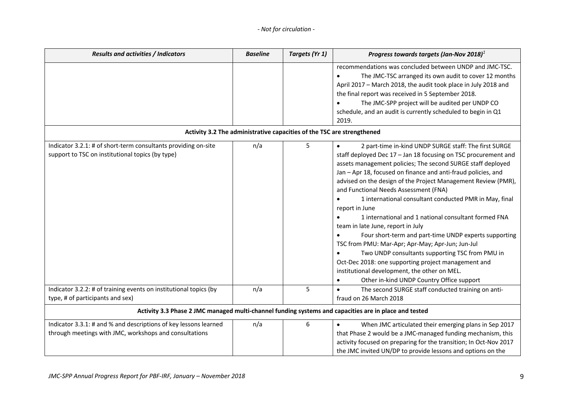| <b>Results and activities / Indicators</b>                                                                                 | <b>Baseline</b> | Targets (Yr 1)                                                         | Progress towards targets (Jan-Nov 2018) $1$                                                                                                                                                                                                                                                                                                                                                                                                                                                                                                                                                                                                                                                                                                                                                                                                                                 |
|----------------------------------------------------------------------------------------------------------------------------|-----------------|------------------------------------------------------------------------|-----------------------------------------------------------------------------------------------------------------------------------------------------------------------------------------------------------------------------------------------------------------------------------------------------------------------------------------------------------------------------------------------------------------------------------------------------------------------------------------------------------------------------------------------------------------------------------------------------------------------------------------------------------------------------------------------------------------------------------------------------------------------------------------------------------------------------------------------------------------------------|
|                                                                                                                            |                 |                                                                        | recommendations was concluded between UNDP and JMC-TSC.<br>The JMC-TSC arranged its own audit to cover 12 months<br>April 2017 - March 2018, the audit took place in July 2018 and<br>the final report was received in 5 September 2018.<br>The JMC-SPP project will be audited per UNDP CO<br>schedule, and an audit is currently scheduled to begin in Q1<br>2019.                                                                                                                                                                                                                                                                                                                                                                                                                                                                                                        |
|                                                                                                                            |                 | Activity 3.2 The administrative capacities of the TSC are strengthened |                                                                                                                                                                                                                                                                                                                                                                                                                                                                                                                                                                                                                                                                                                                                                                                                                                                                             |
| Indicator 3.2.1: # of short-term consultants providing on-site<br>support to TSC on institutional topics (by type)         | n/a             | 5                                                                      | 2 part-time in-kind UNDP SURGE staff: The first SURGE<br>$\bullet$<br>staff deployed Dec 17 - Jan 18 focusing on TSC procurement and<br>assets management policies; The second SURGE staff deployed<br>Jan - Apr 18, focused on finance and anti-fraud policies, and<br>advised on the design of the Project Management Review (PMR),<br>and Functional Needs Assessment (FNA)<br>1 international consultant conducted PMR in May, final<br>report in June<br>1 international and 1 national consultant formed FNA<br>team in late June, report in July<br>Four short-term and part-time UNDP experts supporting<br>TSC from PMU: Mar-Apr; Apr-May; Apr-Jun; Jun-Jul<br>Two UNDP consultants supporting TSC from PMU in<br>Oct-Dec 2018: one supporting project management and<br>institutional development, the other on MEL.<br>Other in-kind UNDP Country Office support |
| Indicator 3.2.2: # of training events on institutional topics (by<br>type, # of participants and sex)                      | n/a             | 5                                                                      | The second SURGE staff conducted training on anti-<br>$\bullet$<br>fraud on 26 March 2018                                                                                                                                                                                                                                                                                                                                                                                                                                                                                                                                                                                                                                                                                                                                                                                   |
| Activity 3.3 Phase 2 JMC managed multi-channel funding systems and capacities are in place and tested                      |                 |                                                                        |                                                                                                                                                                                                                                                                                                                                                                                                                                                                                                                                                                                                                                                                                                                                                                                                                                                                             |
| Indicator 3.3.1: # and % and descriptions of key lessons learned<br>through meetings with JMC, workshops and consultations | n/a             | 6                                                                      | When JMC articulated their emerging plans in Sep 2017<br>that Phase 2 would be a JMC-managed funding mechanism, this<br>activity focused on preparing for the transition; In Oct-Nov 2017<br>the JMC invited UN/DP to provide lessons and options on the                                                                                                                                                                                                                                                                                                                                                                                                                                                                                                                                                                                                                    |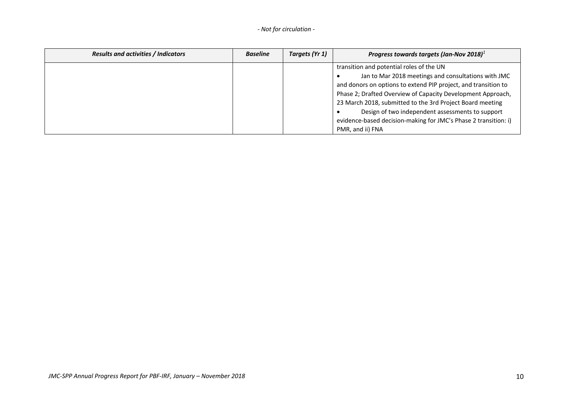| <b>Results and activities / Indicators</b> | <b>Baseline</b> | Targets (Yr 1) | Progress towards targets (Jan-Nov 2018) <sup>1</sup>            |  |  |
|--------------------------------------------|-----------------|----------------|-----------------------------------------------------------------|--|--|
|                                            |                 |                | transition and potential roles of the UN                        |  |  |
|                                            |                 |                | Jan to Mar 2018 meetings and consultations with JMC             |  |  |
|                                            |                 |                | and donors on options to extend PIP project, and transition to  |  |  |
|                                            |                 |                | Phase 2; Drafted Overview of Capacity Development Approach,     |  |  |
|                                            |                 |                | 23 March 2018, submitted to the 3rd Project Board meeting       |  |  |
|                                            |                 |                | Design of two independent assessments to support                |  |  |
|                                            |                 |                | evidence-based decision-making for JMC's Phase 2 transition: i) |  |  |
|                                            |                 |                | PMR, and ii) FNA                                                |  |  |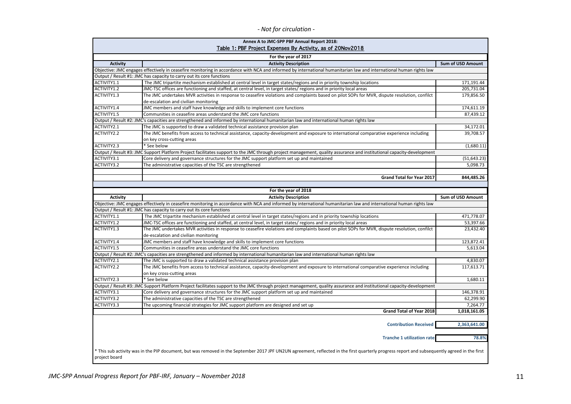|  | - Not for circulation - |  |  |
|--|-------------------------|--|--|
|--|-------------------------|--|--|

| Annex A to JMC-SPP PBF Annual Report 2018:<br>Table 1: PBF Project Expenses By Activity, as of 20Nov2018 |                                                                                                                                                                                               |                          |  |  |  |  |
|----------------------------------------------------------------------------------------------------------|-----------------------------------------------------------------------------------------------------------------------------------------------------------------------------------------------|--------------------------|--|--|--|--|
|                                                                                                          | For the year of 2017                                                                                                                                                                          |                          |  |  |  |  |
| <b>Activity</b>                                                                                          | <b>Activity Description</b>                                                                                                                                                                   | <b>Sum of USD Amount</b> |  |  |  |  |
|                                                                                                          | Objective: JMC engages effectively in ceasefire monitoring in accordance with NCA and informed by international humanitarian law and international human rights law                           |                          |  |  |  |  |
|                                                                                                          | Output / Result #1: JMC has capacity to carry out its core functions                                                                                                                          |                          |  |  |  |  |
| ACTIVITY1.1                                                                                              | The JMC tripartite mechanism established at central level in target states/regions and in priority township locations                                                                         | 171,191.44               |  |  |  |  |
| ACTIVITY1.2                                                                                              | JMC-TSC offices are functioning and staffed, at central level, in target states/ regions and in priority local areas                                                                          | 205,731.04               |  |  |  |  |
| ACTIVITY1.3                                                                                              | The JMC undertakes MVR activities in response to ceasefire violations and complaints based on pilot SOPs for MVR, dispute resolution, confilct<br>de-escalation and civilian monitoring       | 179,856.50               |  |  |  |  |
| ACTIVITY1.4                                                                                              | JMC members and staff have knowledge and skills to implement core functions                                                                                                                   | 174,611.19               |  |  |  |  |
| ACTIVITY1.5                                                                                              | Communities in ceasefire areas understand the JMC core functions                                                                                                                              | 87,439.12                |  |  |  |  |
|                                                                                                          | Output / Result #2: JMC's capacities are strengthened and informed by international humanitarian law and international human rights law                                                       |                          |  |  |  |  |
| ACTIVITY2.1                                                                                              | The JMC is supported to draw a validated technical assistance provision plan                                                                                                                  | 34,172.01                |  |  |  |  |
| ACTIVITY2.2                                                                                              | The JMC benefits from access to technical assistance, capacity-development and exposure to international comparative experience including                                                     | 39,708.57                |  |  |  |  |
|                                                                                                          | on key cross-cutting areas                                                                                                                                                                    |                          |  |  |  |  |
| ACTIVITY2.3                                                                                              | * See below                                                                                                                                                                                   | (1,680.11)               |  |  |  |  |
|                                                                                                          | Output / Result #3: JMC Support Platform Project facilitates support to the JMC through project management, quality assurance and institutional capacity-development                          |                          |  |  |  |  |
|                                                                                                          |                                                                                                                                                                                               |                          |  |  |  |  |
| ACTIVITY3.1                                                                                              | Core delivery and governance structures for the JMC support platform set up and maintained                                                                                                    | (51, 643.23)             |  |  |  |  |
| ACTIVITY3.2                                                                                              | The administrative capacities of the TSC are strengthened                                                                                                                                     | 5,098.73                 |  |  |  |  |
|                                                                                                          |                                                                                                                                                                                               |                          |  |  |  |  |
|                                                                                                          | <b>Grand Total for Year 2017</b>                                                                                                                                                              | 844,485.26               |  |  |  |  |
|                                                                                                          | For the year of 2018                                                                                                                                                                          |                          |  |  |  |  |
| <b>Activity</b>                                                                                          | <b>Activity Description</b>                                                                                                                                                                   | <b>Sum of USD Amount</b> |  |  |  |  |
|                                                                                                          | Objective: JMC engages effectively in ceasefire monitoring in accordance with NCA and informed by international humanitarian law and international human rights law                           |                          |  |  |  |  |
|                                                                                                          | Output / Result #1: JMC has capacity to carry out its core functions                                                                                                                          |                          |  |  |  |  |
| ACTIVITY1.1                                                                                              | The JMC tripartite mechanism established at central level in target states/regions and in priority township locations                                                                         | 471,778.07               |  |  |  |  |
| ACTIVITY1.2                                                                                              | JMC-TSC offices are functioning and staffed, at central level, in target states/ regions and in priority local areas                                                                          | 53,397.66                |  |  |  |  |
| ACTIVITY1.3                                                                                              | The JMC undertakes MVR activities in response to ceasefire violations and complaints based on pilot SOPs for MVR, dispute resolution, confilct                                                | 23,432.40                |  |  |  |  |
|                                                                                                          | de-escalation and civilian monitoring                                                                                                                                                         |                          |  |  |  |  |
| ACTIVITY1.4                                                                                              | JMC members and staff have knowledge and skills to implement core functions                                                                                                                   | 123,872.41               |  |  |  |  |
| ACTIVITY1.5                                                                                              | Communities in ceasefire areas understand the JMC core functions                                                                                                                              | 5,613.04                 |  |  |  |  |
|                                                                                                          | Output / Result #2: JMC's capacities are strengthened and informed by international humanitarian law and international human rights law                                                       |                          |  |  |  |  |
| ACTIVITY2.1                                                                                              | The JMC is supported to draw a validated technical assistance provision plan                                                                                                                  | 4,830.07                 |  |  |  |  |
| ACTIVITY2.2                                                                                              |                                                                                                                                                                                               |                          |  |  |  |  |
|                                                                                                          | The JMC benefits from access to technical assistance, capacity-development and exposure to international comparative experience including                                                     | 117,613.71               |  |  |  |  |
|                                                                                                          | on key cross-cutting areas                                                                                                                                                                    |                          |  |  |  |  |
| ACTIVITY2.3                                                                                              | * See below                                                                                                                                                                                   | 1,680.11                 |  |  |  |  |
|                                                                                                          | Output / Result #3: JMC Support Platform Project facilitates support to the JMC through project management, quality assurance and institutional capacity-development                          |                          |  |  |  |  |
| ACTIVITY3.1                                                                                              | Core delivery and governance structures for the JMC support platform set up and maintained                                                                                                    | 146,378.91               |  |  |  |  |
| ACTIVITY3.2                                                                                              | The administrative capacities of the TSC are strengthened                                                                                                                                     | 62,299.90                |  |  |  |  |
| ACTIVITY3.3                                                                                              | The upcoming financial strategies for JMC support platform are designed and set up                                                                                                            | 7,264.77                 |  |  |  |  |
|                                                                                                          | Grand Total of Year 2018                                                                                                                                                                      | 1,018,161.05             |  |  |  |  |
|                                                                                                          | <b>Contribution Received</b>                                                                                                                                                                  | 2,363,641.00             |  |  |  |  |
|                                                                                                          | <b>Tranche 1 utilization rate</b>                                                                                                                                                             | 78.8%                    |  |  |  |  |
| project board                                                                                            | * This sub activity was in the PIP document, but was removed in the September 2017 JPF UN2UN agreement, reflected in the first quarterly progress report and subsequently agreed in the first |                          |  |  |  |  |